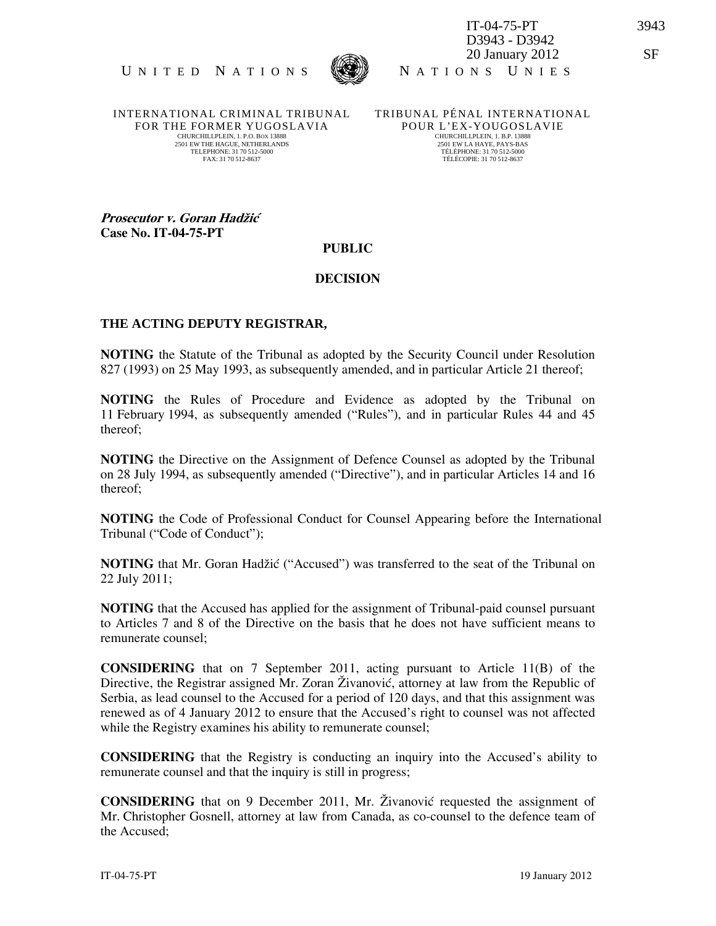



IT-04-75-PT 3943 D3943 - D3942 20 January 2012 SF

INTERNATIONAL CRIMINAL TRIBUNAL FOR THE FORMER YUGOSLAVIA CHURCHILLPLEIN, 1. P.O. BOX 13888 2501 EW THE HAGUE, NETHERLANDS TELEPHONE: 31 70 512-5000 FAX: 31 70 512-8637

TRIBUNAL PÉNAL INTERNATIONAL POUR L'EX-YOUGOSLAVIE CHURCHILLPLEIN, 1. B.P. 13888 2501 EW LA HAYE, PAYS-BAS TÉLÉPHONE: 31 70 512-5000 TÉLÉCOPIE: 31 70 512-8637

Prosecutor v. Goran Hadžić Case No. IT-04-75-PT

## PUBLIC

## DECISION

## **THE ACTING DEPUTY REGISTRAR,**

NOTING the Statute of the Tribunal as adopted by the Security Council under Resolution 827 (1993) on 25 May 1993, as subsequently amended, and in particular Article 21 thereof;

NOTING the Rules of Procedure and Evidence as adopted by the Tribunal on 11 February 1994, as subsequently amended ("Rules"), and in particular Rules 44 and 45 thereof;

NOTING the Directive on the Assignment of Defence Counsel as adopted by the Tribunal on 28 July 1994, as subsequently amended ("Directive"), and in particular Articles 14 and 16 thereof;

NOTING the Code of Professional Conduct for Counsel Appearing before the International Tribunal ("Code of Conduct");

NOTING that Mr. Goran Hadžić ("Accused") was transferred to the seat of the Tribunal on 22 July 2011;

NOTING that the Accused has applied for the assignment of Tribunal-paid counsel pursuant to Articles 7 and 8 of the Directive on the basis that he does not have sufficient means to remunerate counsel;

CONSIDERING that on 7 September 2011, acting pursuant to Article 11(B) of the Directive, the Registrar assigned Mr. Zoran Živanović, attorney at law from the Republic of Serbia, as lead counsel to the Accused for a period of 120 days, and that this assignment was renewed as of 4 January 2012 to ensure that the Accused's right to counsel was not affected while the Registry examines his ability to remunerate counsel;

CONSIDERING that the Registry is conducting an inquiry into the Accused's ability to remunerate counsel and that the inquiry is still in progress;

CONSIDERING that on 9 December 2011, Mr. Živanović requested the assignment of Mr. Christopher Gosnell, attorney at law from Canada, as co-counsel to the defence team of the Accused;